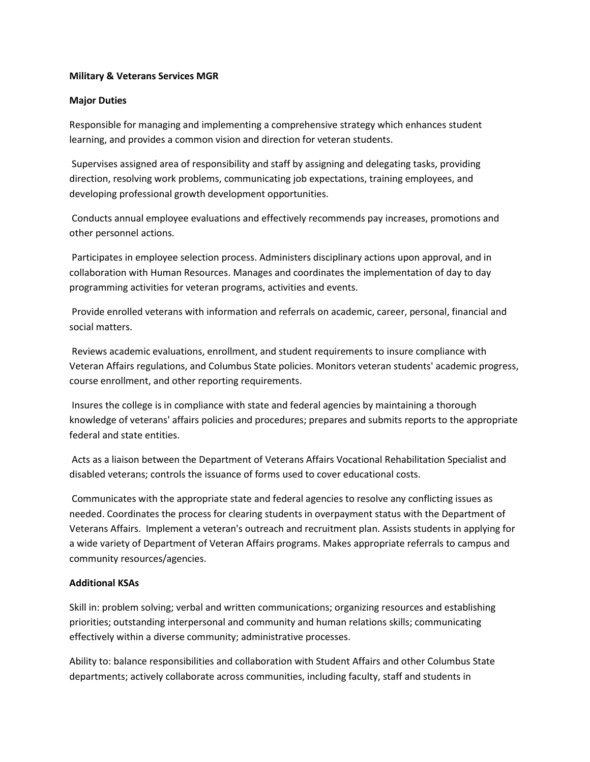## **Military & Veterans Services MGR**

## **Major Duties**

Responsible for managing and implementing a comprehensive strategy which enhances student learning, and provides a common vision and direction for veteran students.

Supervises assigned area of responsibility and staff by assigning and delegating tasks, providing direction, resolving work problems, communicating job expectations, training employees, and developing professional growth development opportunities.

Conducts annual employee evaluations and effectively recommends pay increases, promotions and other personnel actions.

Participates in employee selection process. Administers disciplinary actions upon approval, and in collaboration with Human Resources. Manages and coordinates the implementation of day to day programming activities for veteran programs, activities and events.

Provide enrolled veterans with information and referrals on academic, career, personal, financial and social matters.

Reviews academic evaluations, enrollment, and student requirements to insure compliance with Veteran Affairs regulations, and Columbus State policies. Monitors veteran students' academic progress, course enrollment, and other reporting requirements.

Insures the college is in compliance with state and federal agencies by maintaining a thorough knowledge of veterans' affairs policies and procedures; prepares and submits reports to the appropriate federal and state entities.

Acts as a liaison between the Department of Veterans Affairs Vocational Rehabilitation Specialist and disabled veterans; controls the issuance of forms used to cover educational costs.

Communicates with the appropriate state and federal agencies to resolve any conflicting issues as needed. Coordinates the process for clearing students in overpayment status with the Department of Veterans Affairs. Implement a veteran's outreach and recruitment plan. Assists students in applying for a wide variety of Department of Veteran Affairs programs. Makes appropriate referrals to campus and community resources/agencies.

## **Additional KSAs**

Skill in: problem solving; verbal and written communications; organizing resources and establishing priorities; outstanding interpersonal and community and human relations skills; communicating effectively within a diverse community; administrative processes.

Ability to: balance responsibilities and collaboration with Student Affairs and other Columbus State departments; actively collaborate across communities, including faculty, staff and students in